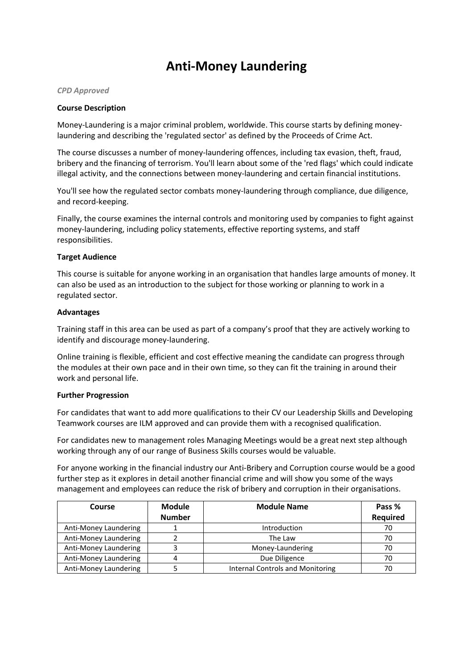# **Anti-Money Laundering**

### *CPD Approved*

### **Course Description**

Money-Laundering is a major criminal problem, worldwide. This course starts by defining moneylaundering and describing the 'regulated sector' as defined by the Proceeds of Crime Act.

The course discusses a number of money-laundering offences, including tax evasion, theft, fraud, bribery and the financing of terrorism. You'll learn about some of the 'red flags' which could indicate illegal activity, and the connections between money-laundering and certain financial institutions.

You'll see how the regulated sector combats money-laundering through compliance, due diligence, and record-keeping.

Finally, the course examines the internal controls and monitoring used by companies to fight against money-laundering, including policy statements, effective reporting systems, and staff responsibilities.

### **Target Audience**

This course is suitable for anyone working in an organisation that handles large amounts of money. It can also be used as an introduction to the subject for those working or planning to work in a regulated sector.

### **Advantages**

Training staff in this area can be used as part of a company's proof that they are actively working to identify and discourage money-laundering.

Online training is flexible, efficient and cost effective meaning the candidate can progress through the modules at their own pace and in their own time, so they can fit the training in around their work and personal life.

#### **Further Progression**

For candidates that want to add more qualifications to their CV our Leadership Skills and Developing Teamwork courses are ILM approved and can provide them with a recognised qualification.

For candidates new to management roles Managing Meetings would be a great next step although working through any of our range of Business Skills courses would be valuable.

For anyone working in the financial industry our Anti-Bribery and Corruption course would be a good further step as it explores in detail another financial crime and will show you some of the ways management and employees can reduce the risk of bribery and corruption in their organisations.

| Course                | <b>Module</b> | <b>Module Name</b>                      | Pass %   |
|-----------------------|---------------|-----------------------------------------|----------|
|                       | <b>Number</b> |                                         | Required |
| Anti-Money Laundering |               | Introduction                            | 70       |
| Anti-Money Laundering |               | The Law                                 | 70       |
| Anti-Money Laundering |               | Money-Laundering                        | 70       |
| Anti-Money Laundering |               | Due Diligence                           | 70       |
| Anti-Money Laundering |               | <b>Internal Controls and Monitoring</b> | 70       |